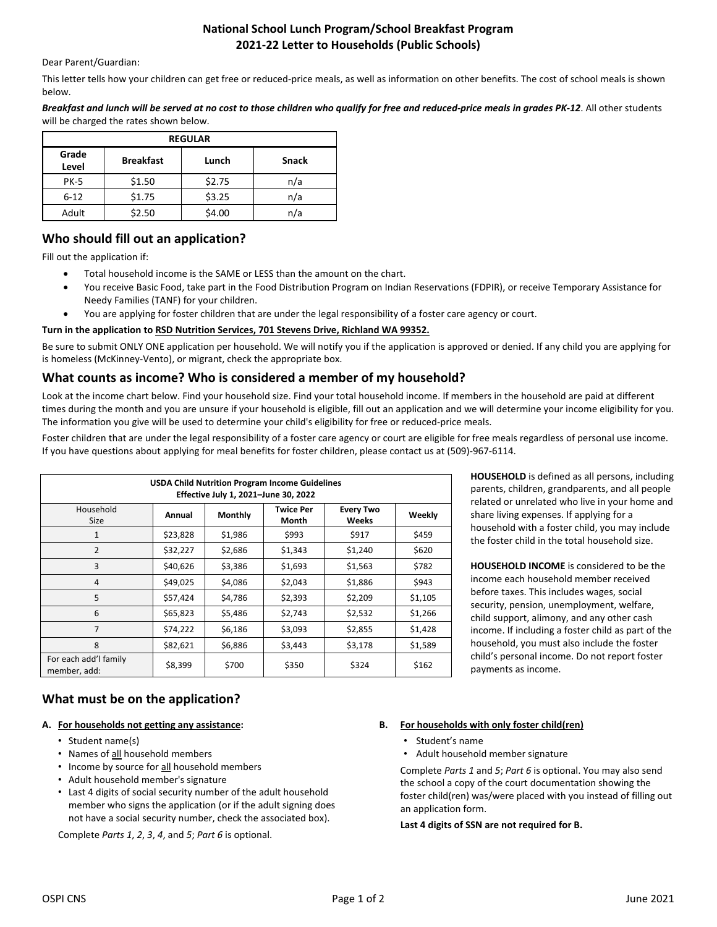## **National School Lunch Program/School Breakfast Program 2021-22 Letter to Households (Public Schools)**

#### Dear Parent/Guardian:

This letter tells how your children can get free or reduced-price meals, as well as information on other benefits. The cost of school meals is shown below.

*Breakfast and lunch will be served at no cost to those children who qualify for free and reduced-price meals in grades PK-12*. All other students will be charged the rates shown below.

| <b>REGULAR</b> |                  |        |              |  |  |  |  |  |
|----------------|------------------|--------|--------------|--|--|--|--|--|
| Grade<br>Level | <b>Breakfast</b> | Lunch  | <b>Snack</b> |  |  |  |  |  |
| <b>PK-5</b>    | \$1.50           | \$2.75 | n/a          |  |  |  |  |  |
| $6 - 12$       | \$1.75           | \$3.25 | n/a          |  |  |  |  |  |
| Adult          | \$2.50           | \$4.00 | n/a          |  |  |  |  |  |

# **Who should fill out an application?**

Fill out the application if:

- Total household income is the SAME or LESS than the amount on the chart.
- You receive Basic Food, take part in the Food Distribution Program on Indian Reservations (FDPIR), or receive Temporary Assistance for Needy Families (TANF) for your children.
- You are applying for foster children that are under the legal responsibility of a foster care agency or court.

#### **Turn in the application to RSD Nutrition Services, 701 Stevens Drive, Richland WA 99352.**

Be sure to submit ONLY ONE application per household. We will notify you if the application is approved or denied. If any child you are applying for is homeless (McKinney-Vento), or migrant, check the appropriate box.

### **What counts as income? Who is considered a member of my household?**

Look at the income chart below. Find your household size. Find your total household income. If members in the household are paid at different times during the month and you are unsure if your household is eligible, fill out an application and we will determine your income eligibility for you. The information you give will be used to determine your child's eligibility for free or reduced-price meals.

Foster children that are under the legal responsibility of a foster care agency or court are eligible for free meals regardless of personal use income. If you have questions about applying for meal benefits for foster children, please contact us at (509)-967-6114.

| <b>USDA Child Nutrition Program Income Guidelines</b><br>Effective July 1, 2021-June 30, 2022 |          |                |                           |                           |         |  |  |  |
|-----------------------------------------------------------------------------------------------|----------|----------------|---------------------------|---------------------------|---------|--|--|--|
| Household<br>Size                                                                             | Annual   | <b>Monthly</b> | <b>Twice Per</b><br>Month | <b>Every Two</b><br>Weeks | Weekly  |  |  |  |
| 1                                                                                             | \$23,828 | \$1,986        | \$993                     | \$917                     | \$459   |  |  |  |
| $\overline{2}$                                                                                | \$32,227 | \$2,686        | \$1,343                   | \$1,240                   | \$620   |  |  |  |
| 3                                                                                             | \$40,626 | \$3,386        | \$1,693                   | \$1,563                   | \$782   |  |  |  |
| 4                                                                                             | \$49,025 | \$4,086        | \$2,043                   | \$1,886                   | \$943   |  |  |  |
| 5                                                                                             | \$57,424 | \$4,786        | \$2,393                   | \$2,209                   | \$1,105 |  |  |  |
| 6                                                                                             | \$65,823 | \$5,486        | \$2,743                   | \$2,532                   | \$1,266 |  |  |  |
| $\overline{7}$                                                                                | \$74,222 | \$6,186        | \$3,093                   | \$2,855                   | \$1,428 |  |  |  |
| 8                                                                                             | \$82,621 | \$6,886        | \$3,443                   | \$3,178                   | \$1,589 |  |  |  |
| For each add'l family<br>member, add:                                                         | \$8,399  | \$700          | \$350                     | \$324                     | \$162   |  |  |  |

**HOUSEHOLD** is defined as all persons, including parents, children, grandparents, and all people related or unrelated who live in your home and share living expenses. If applying for a household with a foster child, you may include the foster child in the total household size.

**HOUSEHOLD INCOME** is considered to be the income each household member received before taxes. This includes wages, social security, pension, unemployment, welfare, child support, alimony, and any other cash income. If including a foster child as part of the household, you must also include the foster child's personal income. Do not report foster payments as income.

## **What must be on the application?**

#### **A. For households not getting any assistance:**

- Student name(s)
- Names of all household members
- Income by source for all household members
- Adult household member's signature
- Last 4 digits of social security number of the adult household member who signs the application (or if the adult signing does not have a social security number, check the associated box).

Complete *Parts 1*, *2*, *3*, *4*, and *5*; *Part 6* is optional.

- **B. For households with only foster child(ren)**
	- Student's name
	- Adult household member signature

Complete *Parts 1* and *5*; *Part 6* is optional. You may also send the school a copy of the court documentation showing the foster child(ren) was/were placed with you instead of filling out an application form.

#### **Last 4 digits of SSN are not required for B.**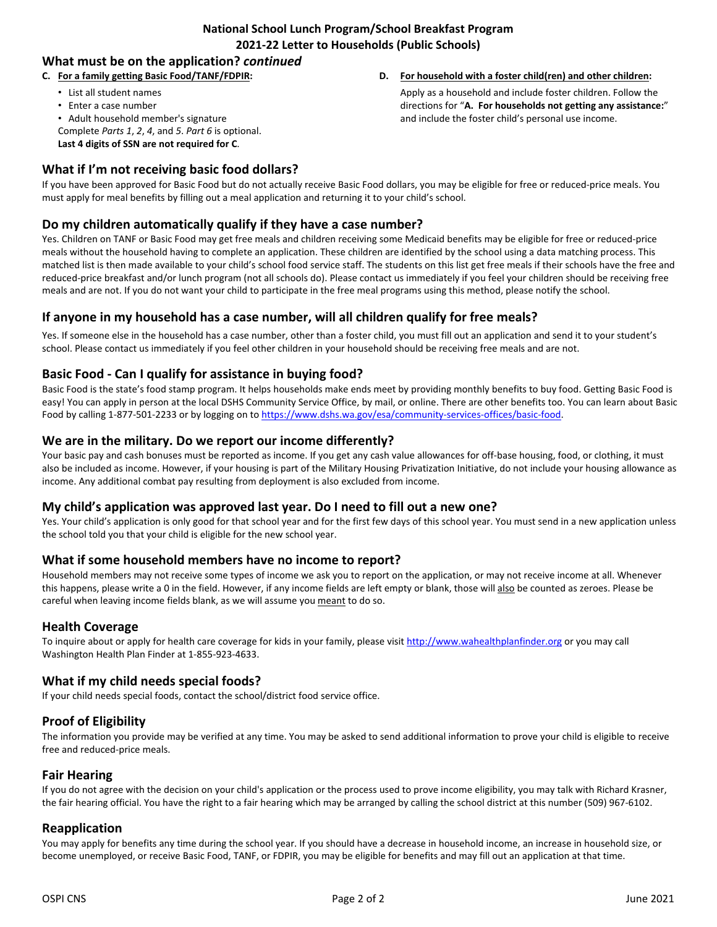## **National School Lunch Program/School Breakfast Program 2021-22 Letter to Households (Public Schools)**

# **What must be on the application?** *continued*

#### **C. For a family getting Basic Food/TANF/FDPIR:**

- List all student names
- Enter a case number
- Adult household member's signature
- Complete *Parts 1*, *2*, *4*, and *5*. *Part 6* is optional.
- **Last 4 digits of SSN are not required for C**.

# **What if I'm not receiving basic food dollars?**

If you have been approved for Basic Food but do not actually receive Basic Food dollars, you may be eligible for free or reduced-price meals. You must apply for meal benefits by filling out a meal application and returning it to your child's school.

## **Do my children automatically qualify if they have a case number?**

Yes. Children on TANF or Basic Food may get free meals and children receiving some Medicaid benefits may be eligible for free or reduced-price meals without the household having to complete an application. These children are identified by the school using a data matching process. This matched list is then made available to your child's school food service staff. The students on this list get free meals if their schools have the free and reduced-price breakfast and/or lunch program (not all schools do). Please contact us immediately if you feel your children should be receiving free meals and are not. If you do not want your child to participate in the free meal programs using this method, please notify the school.

# **If anyone in my household has a case number, will all children qualify for free meals?**

Yes. If someone else in the household has a case number, other than a foster child, you must fill out an application and send it to your student's school. Please contact us immediately if you feel other children in your household should be receiving free meals and are not.

# **Basic Food - Can I qualify for assistance in buying food?**

Basic Food is the state's food stamp program. It helps households make ends meet by providing monthly benefits to buy food. Getting Basic Food is easy! You can apply in person at the local DSHS Community Service Office, by mail, or online. There are other benefits too. You can learn about Basic Food by calling 1-877-501-2233 or by logging on t[o https://www.dshs.wa.gov/esa/community-services-offices/basic-food.](https://www.dshs.wa.gov/esa/community-services-offices/basic-food)

## **We are in the military. Do we report our income differently?**

Your basic pay and cash bonuses must be reported as income. If you get any cash value allowances for off-base housing, food, or clothing, it must also be included as income. However, if your housing is part of the Military Housing Privatization Initiative, do not include your housing allowance as income. Any additional combat pay resulting from deployment is also excluded from income.

## **My child's application was approved last year. Do I need to fill out a new one?**

Yes. Your child's application is only good for that school year and for the first few days of this school year. You must send in a new application unless the school told you that your child is eligible for the new school year.

## **What if some household members have no income to report?**

Household members may not receive some types of income we ask you to report on the application, or may not receive income at all. Whenever this happens, please write a 0 in the field. However, if any income fields are left empty or blank, those will also be counted as zeroes. Please be careful when leaving income fields blank, as we will assume you meant to do so.

## **Health Coverage**

To inquire about or apply for health care coverage for kids in your family, please visi[t http://www.wahealthplanfinder.org](http://www.wahealthplanfinder.org/) or you may call Washington Health Plan Finder at 1-855-923-4633.

## **What if my child needs special foods?**

If your child needs special foods, contact the school/district food service office.

# **Proof of Eligibility**

The information you provide may be verified at any time. You may be asked to send additional information to prove your child is eligible to receive free and reduced-price meals.

#### **Fair Hearing**

If you do not agree with the decision on your child's application or the process used to prove income eligibility, you may talk with Richard Krasner, the fair hearing official. You have the right to a fair hearing which may be arranged by calling the school district at this number (509) 967-6102.

#### **Reapplication**

You may apply for benefits any time during the school year. If you should have a decrease in household income, an increase in household size, or become unemployed, or receive Basic Food, TANF, or FDPIR, you may be eligible for benefits and may fill out an application at that time.

**D. For household with a foster child(ren) and other children:** Apply as a household and include foster children. Follow the directions for "**A. For households not getting any assistance:**" and include the foster child's personal use income.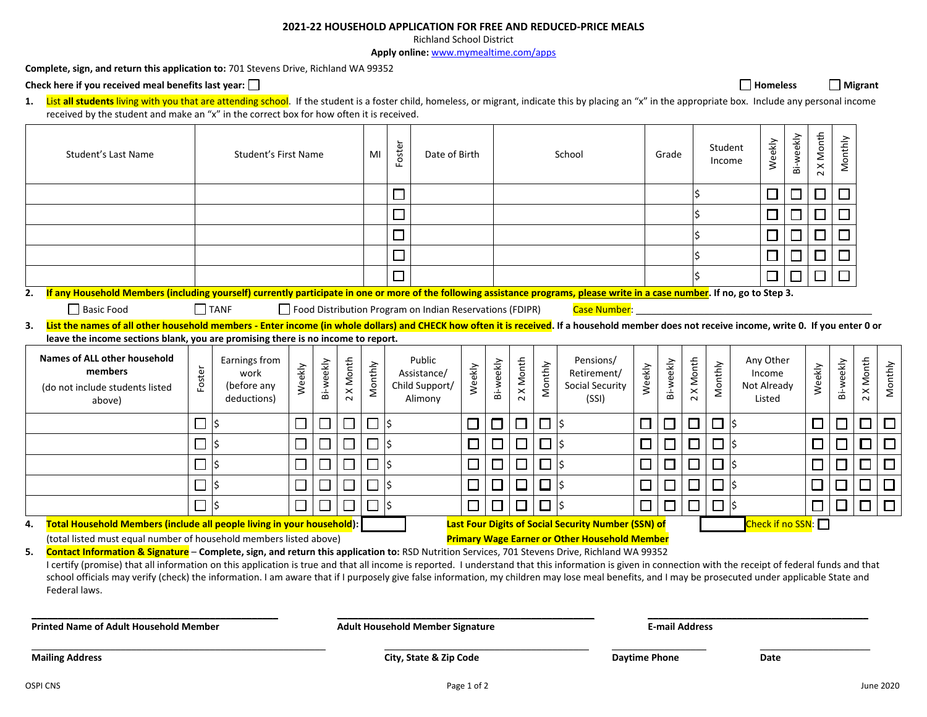#### **2021-22 HOUSEHOLD APPLICATION FOR FREE AND REDUCED-PRICE MEALS**

Richland School District

**Apply online:** <www.mymealtime.com/apps>

**Complete, sign, and return this application to:** 701 Stevens Drive, Richland WA 99352

Check here if you received meal benefits last year: □ **Homeless Homeless Homeless Homeless Homeless Homeless Homeless Homeless Homeless Homeless Homeless Homeless Homeless Homeless Homeless H** 

1. List all students living with you that are attending school. If the student is a foster child, homeless, or migrant, indicate this by placing an "x" in the appropriate box. Include any personal income received by the student and make an "x" in the correct box for how often it is received.

|    | Student's Last Name                                                                                                                                                                                                                                                                                                                                                                                                                                                                                                                                                                                                                                                                                         |        | Student's First Name                                |                             |           | Foster<br>MI<br>Date of Birth     |         |        | School                                                   |             |           |           | Grade   |                                                            | Student<br>Income    |           | Weekly    | Bi-weekly | 2 X Month | Monthly                                      |        |        |           |                             |           |
|----|-------------------------------------------------------------------------------------------------------------------------------------------------------------------------------------------------------------------------------------------------------------------------------------------------------------------------------------------------------------------------------------------------------------------------------------------------------------------------------------------------------------------------------------------------------------------------------------------------------------------------------------------------------------------------------------------------------------|--------|-----------------------------------------------------|-----------------------------|-----------|-----------------------------------|---------|--------|----------------------------------------------------------|-------------|-----------|-----------|---------|------------------------------------------------------------|----------------------|-----------|-----------|-----------|-----------|----------------------------------------------|--------|--------|-----------|-----------------------------|-----------|
|    |                                                                                                                                                                                                                                                                                                                                                                                                                                                                                                                                                                                                                                                                                                             |        |                                                     |                             |           |                                   |         | $\Box$ |                                                          |             |           |           |         |                                                            |                      |           |           |           |           | $\Box$                                       | □      | 囗      | $\Box$    |                             |           |
|    |                                                                                                                                                                                                                                                                                                                                                                                                                                                                                                                                                                                                                                                                                                             |        |                                                     |                             |           |                                   |         | $\sim$ |                                                          |             |           |           |         |                                                            |                      |           |           |           |           | $\Box$                                       | $\Box$ | $\Box$ | $\Box$    |                             |           |
|    |                                                                                                                                                                                                                                                                                                                                                                                                                                                                                                                                                                                                                                                                                                             |        |                                                     |                             |           |                                   |         |        |                                                          |             |           |           |         |                                                            |                      |           |           |           |           | $\Box$                                       | $\Box$ | $\Box$ | $\Box$    |                             |           |
|    |                                                                                                                                                                                                                                                                                                                                                                                                                                                                                                                                                                                                                                                                                                             |        |                                                     |                             |           |                                   |         | $\sim$ |                                                          |             |           |           |         |                                                            |                      |           |           |           |           | $\Box$                                       | $\Box$ | □      | □         |                             |           |
|    |                                                                                                                                                                                                                                                                                                                                                                                                                                                                                                                                                                                                                                                                                                             |        |                                                     |                             |           |                                   |         |        |                                                          |             |           |           |         |                                                            |                      |           |           |           |           | $\Box$                                       |        | $\Box$ | □         |                             |           |
| 2. | If any Household Members (including yourself) currently participate in one or more of the following assistance programs, please write in a case number. If no, go to Step 3.                                                                                                                                                                                                                                                                                                                                                                                                                                                                                                                                |        |                                                     |                             |           |                                   |         |        |                                                          |             |           |           |         |                                                            |                      |           |           |           |           |                                              |        |        |           |                             |           |
|    | Basic Food                                                                                                                                                                                                                                                                                                                                                                                                                                                                                                                                                                                                                                                                                                  |        | <b>I</b> TANF                                       |                             |           |                                   |         |        | Food Distribution Program on Indian Reservations (FDIPR) |             |           |           |         | Case Number:                                               |                      |           |           |           |           |                                              |        |        |           |                             |           |
|    | 3. List the names of all other household members - Enter income (in whole dollars) and CHECK how often it is received. If a household member does not receive income, write 0. If you enter 0 or                                                                                                                                                                                                                                                                                                                                                                                                                                                                                                            |        |                                                     |                             |           |                                   |         |        |                                                          |             |           |           |         |                                                            |                      |           |           |           |           |                                              |        |        |           |                             |           |
|    | leave the income sections blank, you are promising there is no income to report.                                                                                                                                                                                                                                                                                                                                                                                                                                                                                                                                                                                                                            |        |                                                     |                             |           |                                   |         |        |                                                          |             |           |           |         |                                                            |                      |           |           |           |           |                                              |        |        |           |                             |           |
|    | <b>Names of ALL other household</b><br>members<br>(do not include students listed<br>above)                                                                                                                                                                                                                                                                                                                                                                                                                                                                                                                                                                                                                 | Foster | Earnings from<br>work<br>(before any<br>deductions) | Weekly                      | Bi-weekly | Month<br>$\pmb{\times}$<br>$\sim$ | Monthly |        | Public<br>Assistance/<br>Child Support/<br>Alimony       | Weekly      | Bi-weekly | 2 X Month | Monthly | Pensions/<br>Retirement/<br>Social Security<br>(SSI)       | Weekly               | Bi-weekly | 2 X Month | Monthly   |           | Any Other<br>Income<br>Not Already<br>Listed |        | Weekly | Bi-weekly | 2 X Month                   | Monthly   |
|    |                                                                                                                                                                                                                                                                                                                                                                                                                                                                                                                                                                                                                                                                                                             | $\Box$ | Ś                                                   | $\mathcal{L}_{\mathcal{A}}$ |           |                                   |         | I\$    |                                                          | $\Box$      | $\Box$    | $\Box$    | $\Box$  | l\$                                                        | $\Box$               | $\Box$    | □         | 口 \$      |           |                                              |        | $\Box$ |           | $\mathcal{L}_{\mathcal{A}}$ | $\Box$    |
|    |                                                                                                                                                                                                                                                                                                                                                                                                                                                                                                                                                                                                                                                                                                             | $\Box$ | Ś                                                   |                             |           |                                   |         | lś     |                                                          | $\Box$      | $\Box$    | $\Box$    | $\Box$  | l\$                                                        | $\Box$               | $\Box$    | $\Box$    | $\Box$    | l\$       |                                              |        | $\Box$ |           |                             | $\Box$    |
|    |                                                                                                                                                                                                                                                                                                                                                                                                                                                                                                                                                                                                                                                                                                             |        | $\zeta$                                             |                             |           |                                   |         | l\$    |                                                          | $\Box$      | $\Box$    | $\Box$    | $\Box$  | $\overline{5}$                                             | □                    | $\Box$    | $\Box$    | $\Box$    | l\$       |                                              |        | $\Box$ | □         | $\Box$                      | $\Box$    |
|    |                                                                                                                                                                                                                                                                                                                                                                                                                                                                                                                                                                                                                                                                                                             |        | Ś                                                   | $\Box$                      |           |                                   |         | l\$    |                                                          | $\Box$      | $\Box$    | $\square$ | © s     |                                                            | $\Box$               | $\Box$    | $\Box$    | $\Box$    | l\$       |                                              |        | $\Box$ | $\Box$    |                             | $\Box$    |
|    |                                                                                                                                                                                                                                                                                                                                                                                                                                                                                                                                                                                                                                                                                                             | $\Box$ | \$                                                  | $\Box$                      |           |                                   |         | I\$    |                                                          | $\Box$      | $\Box$    | $\Box$    | $\Box$  | \$                                                         | □                    | $\Box$    | $\Box$    | $\Box$    | ∣\$       |                                              |        | $\Box$ | П         | □                           | $\Box$    |
| 4. | Total Household Members (include all people living in your household):                                                                                                                                                                                                                                                                                                                                                                                                                                                                                                                                                                                                                                      |        |                                                     |                             |           |                                   |         |        |                                                          |             |           |           |         | <b>Last Four Digits of Social Security Number (SSN) of</b> |                      |           |           |           |           | Check if no SSN:                             |        |        |           |                             |           |
|    | (total listed must equal number of household members listed above)                                                                                                                                                                                                                                                                                                                                                                                                                                                                                                                                                                                                                                          |        |                                                     |                             |           |                                   |         |        |                                                          |             |           |           |         | <b>Primary Wage Earner or Other Household Member</b>       |                      |           |           |           |           |                                              |        |        |           |                             |           |
|    | 5. Contact Information & Signature - Complete, sign, and return this application to: RSD Nutrition Services, 701 Stevens Drive, Richland WA 99352<br>I certify (promise) that all information on this application is true and that all income is reported. I understand that this information is given in connection with the receipt of federal funds and that<br>school officials may verify (check) the information. I am aware that if I purposely give false information, my children may lose meal benefits, and I may be prosecuted under applicable State and<br>Federal laws.<br><b>Printed Name of Adult Household Member</b><br><b>Adult Household Member Signature</b><br><b>E-mail Address</b> |        |                                                     |                             |           |                                   |         |        |                                                          |             |           |           |         |                                                            |                      |           |           |           |           |                                              |        |        |           |                             |           |
|    | <b>Mailing Address</b>                                                                                                                                                                                                                                                                                                                                                                                                                                                                                                                                                                                                                                                                                      |        |                                                     |                             |           |                                   |         |        | City, State & Zip Code                                   |             |           |           |         |                                                            | <b>Daytime Phone</b> |           |           |           |           | Date                                         |        |        |           |                             |           |
|    | <b>OSPI CNS</b>                                                                                                                                                                                                                                                                                                                                                                                                                                                                                                                                                                                                                                                                                             |        |                                                     |                             |           |                                   |         |        |                                                          | Page 1 of 2 |           |           |         |                                                            |                      |           |           |           |           |                                              |        |        |           |                             | June 2020 |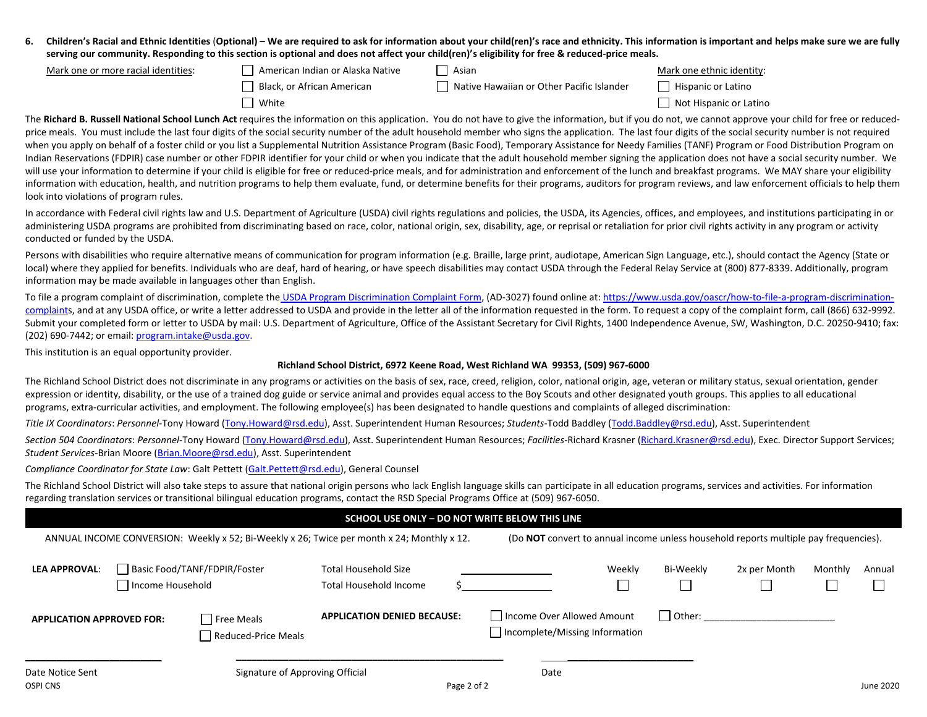6. Children's Racial and Ethnic Identities (Optional) – We are required to ask for information about your child(ren)'s race and ethnicity. This information is important and helps make sure we are fully **serving our community. Responding to this section is optional and does not affect your child(ren)'s eligibility for free & reduced-price meals.**

| Mark one or more racial identities: | American Indian or Alaska Native | Asian                                     | Mark one ethnic identity: |
|-------------------------------------|----------------------------------|-------------------------------------------|---------------------------|
|                                     | Black, or African American       | Native Hawaiian or Other Pacific Islander | Hispanic or Latino        |
|                                     | White                            |                                           | Not Hispanic or Latino    |

The Richard B. Russell National School Lunch Act requires the information on this application. You do not have to give the information, but if you do not, we cannot approve your child for free or reducedprice meals. You must include the last four digits of the social security number of the adult household member who signs the application. The last four digits of the social security number is not required when you apply on behalf of a foster child or you list a Supplemental Nutrition Assistance Program (Basic Food), Temporary Assistance for Needy Families (TANF) Program or Food Distribution Program on Indian Reservations (FDPIR) case number or other FDPIR identifier for your child or when you indicate that the adult household member signing the application does not have a social security number. We will use your information to determine if your child is eligible for free or reduced-price meals, and for administration and enforcement of the lunch and breakfast programs. We MAY share your eligibility information with education, health, and nutrition programs to help them evaluate, fund, or determine benefits for their programs, auditors for program reviews, and law enforcement officials to help them look into violations of program rules.

In accordance with Federal civil rights law and U.S. Department of Agriculture (USDA) civil rights regulations and policies, the USDA, its Agencies, offices, and employees, and institutions participating in or administering USDA programs are prohibited from discriminating based on race, color, national origin, sex, disability, age, or reprisal or retaliation for prior civil rights activity in any program or activity conducted or funded by the USDA.

Persons with disabilities who require alternative means of communication for program information (e.g. Braille, large print, audiotape, American Sign Language, etc.), should contact the Agency (State or local) where they applied for benefits. Individuals who are deaf, hard of hearing, or have speech disabilities may contact USDA through the Federal Relay Service at (800) 877-8339. Additionally, program information may be made available in languages other than English.

To file a program complaint of discrimination, complete the [USDA Program Discrimination Complaint Form,](https://www.usda.gov/sites/default/files/documents/USDA-OASCR%20P-Complaint-Form-0508-0002-508-11-28-17Fax2Mail.pdf) (AD-3027) found online at[: https://www.usda.gov/oascr/how-to-file-a-program-discrimination](https://www.usda.gov/oascr/how-to-file-a-program-discrimination-complaint)[complaints](https://www.usda.gov/oascr/how-to-file-a-program-discrimination-complaint), and at any USDA office, or write a letter addressed to USDA and provide in the letter all of the information requested in the form. To request a copy of the complaint form, call (866) 632-9992. Submit your completed form or letter to USDA by mail: U.S. Department of Agriculture, Office of the Assistant Secretary for Civil Rights, 1400 Independence Avenue, SW, Washington, D.C. 20250-9410; fax: (202) 690-7442; or email: [program.intake@usda.gov.](mailto:program.intake@usda.gov)

This institution is an equal opportunity provider.

#### **Richland School District, 6972 Keene Road, West Richland WA 99353, (509) 967-6000**

The Richland School District does not discriminate in any programs or activities on the basis of sex, race, creed, religion, color, national origin, age, veteran or military status, sexual orientation, gender expression or identity, disability, or the use of a trained dog guide or service animal and provides equal access to the Boy Scouts and other designated youth groups. This applies to all educational programs, extra-curricular activities, and employment. The following employee(s) has been designated to handle questions and complaints of alleged discrimination:

*Title IX Coordinators*: *Personnel*-Tony Howard [\(Tony.Howard@rsd.edu\)](mailto:Tony.Howard@rsd.edu), Asst. Superintendent Human Resources; *Students*-Todd Baddley [\(Todd.Baddley@rsd.edu\)](mailto:Todd.Baddley@rsd.edu), Asst. Superintendent

*Section 504 Coordinators*: *Personnel*-Tony Howard [\(Tony.Howard@rsd.edu\)](mailto:Tony.Howard@rsd.edu), Asst. Superintendent Human Resources; *Facilities*-Richard Krasner [\(Richard.Krasner@rsd.edu\)](mailto:Richard.Krasner@rsd.edu), Exec. Director Support Services; *Student Services*-Brian Moore [\(Brian.Moore@rsd.edu\)](mailto:Brian.Moore@rsd.edu), Asst. Superintendent

*Compliance Coordinator for State Law*: Galt Pettett [\(Galt.Pettett@rsd.edu\)](mailto:Galt.Pettett@rsd.edu), General Counsel

The Richland School District will also take steps to assure that national origin persons who lack English language skills can participate in all education programs, services and activities. For information regarding translation services or transitional bilingual education programs, contact the RSD Special Programs Office at (509) 967-6050.

#### **SCHOOL USE ONLY – DO NOT WRITE BELOW THIS LINE**

| ANNUAL INCOME CONVERSION: Weekly x 52; Bi-Weekly x 26; Twice per month x 24; Monthly x 12. |                  |                                          |                                                       | (Do NOT convert to annual income unless household reports multiple pay frequencies). |           |              |         |           |
|--------------------------------------------------------------------------------------------|------------------|------------------------------------------|-------------------------------------------------------|--------------------------------------------------------------------------------------|-----------|--------------|---------|-----------|
| <b>LEA APPROVAL:</b>                                                                       | Income Household | Basic Food/TANF/FDPIR/Foster             | <b>Total Household Size</b><br>Total Household Income | Weekly                                                                               | Bi-Weekly | 2x per Month | Monthly | Annual    |
| <b>APPLICATION APPROVED FOR:</b>                                                           |                  | <b>Free Meals</b><br>Reduced-Price Meals | <b>APPLICATION DENIED BECAUSE:</b>                    | Income Over Allowed Amount<br>Incomplete/Missing Information                         | Other:    |              |         |           |
| Date Notice Sent                                                                           |                  | Signature of Approving Official          |                                                       | Date                                                                                 |           |              |         |           |
| OSPI CNS                                                                                   |                  |                                          | Page 2 of 2                                           |                                                                                      |           |              |         | June 2020 |